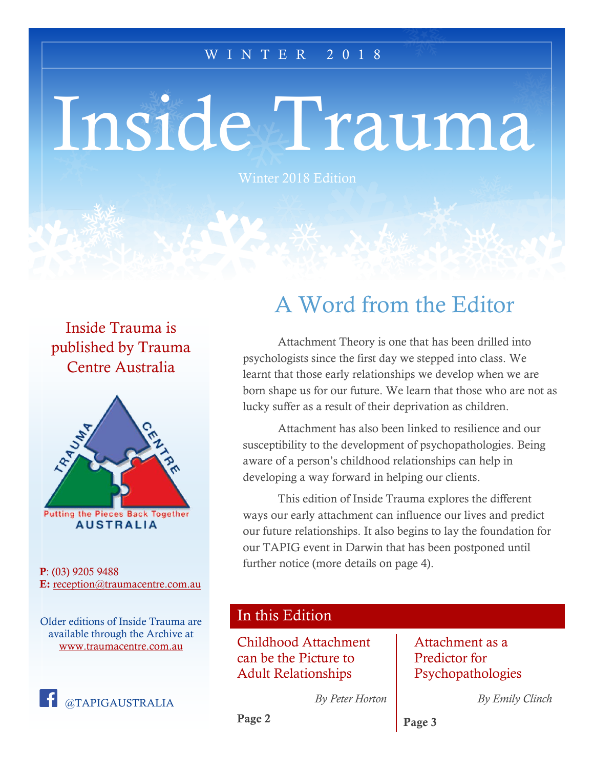#### W I N T E R 2 0 1 8

# Inside Trauma

Winter 2018 Edition

Inside Trauma is published by Trauma Centre Australia



P: (03) 9205 9488 E: [reception@traumacentre.com.au](mailto:reception@traumacentre.com.au)

Older editions of Inside Trauma are available through the Archive at [www.traumacentre.com.au](http://www.traumacentre.com.au/)



## A Word from the Editor

Attachment Theory is one that has been drilled into psychologists since the first day we stepped into class. We learnt that those early relationships we develop when we are born shape us for our future. We learn that those who are not as lucky suffer as a result of their deprivation as children.

Attachment has also been linked to resilience and our susceptibility to the development of psychopathologies. Being aware of a person's childhood relationships can help in developing a way forward in helping our clients.

This edition of Inside Trauma explores the different ways our early attachment can influence our lives and predict our future relationships. It also begins to lay the foundation for our TAPIG event in Darwin that has been postponed until further notice (more details on page 4).

### In this Edition

Childhood Attachment can be the Picture to Adult Relationships

#### Attachment as a Predictor for Psychopathologies

*By Peter Horton*

*By Emily Clinch*

Page 3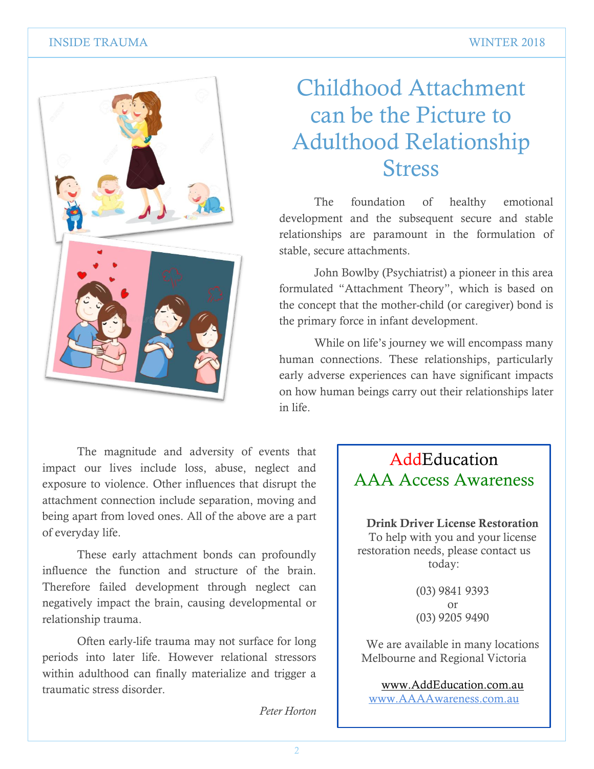#### INSIDE TRAUMA WINTER 2018



## Childhood Attachment can be the Picture to Adulthood Relationship **Stress**

The foundation of healthy emotional development and the subsequent secure and stable relationships are paramount in the formulation of stable, secure attachments.

John Bowlby (Psychiatrist) a pioneer in this area formulated "Attachment Theory", which is based on the concept that the mother-child (or caregiver) bond is the primary force in infant development.

While on life's journey we will encompass many human connections. These relationships, particularly early adverse experiences can have significant impacts on how human beings carry out their relationships later in life.

The magnitude and adversity of events that impact our lives include loss, abuse, neglect and exposure to violence. Other influences that disrupt the attachment connection include separation, moving and being apart from loved ones. All of the above are a part of everyday life.

These early attachment bonds can profoundly influence the function and structure of the brain. Therefore failed development through neglect can negatively impact the brain, causing developmental or relationship trauma.

Often early-life trauma may not surface for long periods into later life. However relational stressors within adulthood can finally materialize and trigger a traumatic stress disorder.

## AddEducation AAA Access Awareness

Drink Driver License Restoration To help with you and your license restoration needs, please contact us today:

> (03) 9841 9393 or (03) 9205 9490

We are available in many locations Melbourne and Regional Victoria

[www.AddEducation.com.au](http://www.addeducation.com.au/) [www.AAAAwareness.com.au](http://www.aaaawareness.com.au/)

*Peter Horton*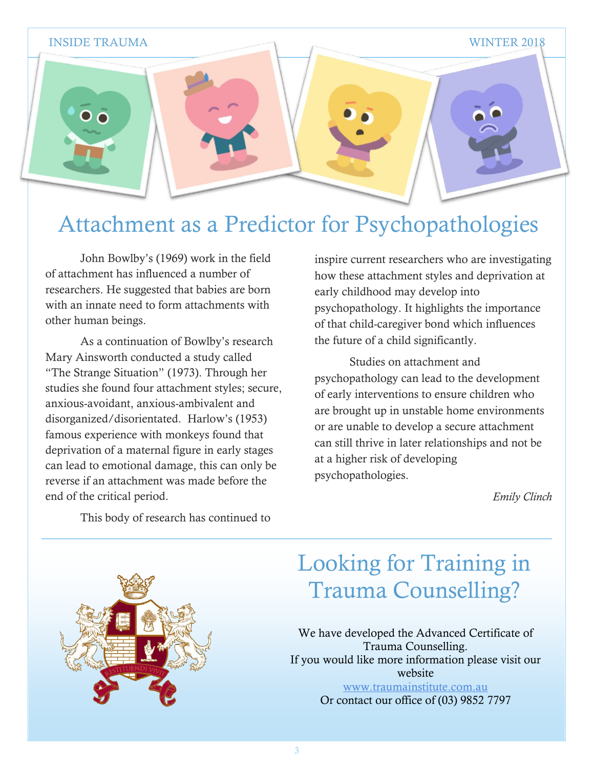

## Attachment as a Predictor for Psychopathologies

John Bowlby's (1969) work in the field of attachment has influenced a number of researchers. He suggested that babies are born with an innate need to form attachments with other human beings.

As a continuation of Bowlby's research Mary Ainsworth conducted a study called "The Strange Situation" (1973). Through her studies she found four attachment styles; secure, anxious-avoidant, anxious-ambivalent and disorganized/disorientated. Harlow's (1953) famous experience with monkeys found that deprivation of a maternal figure in early stages can lead to emotional damage, this can only be reverse if an attachment was made before the end of the critical period.

inspire current researchers who are investigating how these attachment styles and deprivation at early childhood may develop into psychopathology. It highlights the importance of that child-caregiver bond which influences the future of a child significantly.

Studies on attachment and psychopathology can lead to the development of early interventions to ensure children who are brought up in unstable home environments or are unable to develop a secure attachment can still thrive in later relationships and not be at a higher risk of developing psychopathologies.

*Emily Clinch*

This body of research has continued to

# Looking for Training in Trauma Counselling?

We have developed the Advanced Certificate of Trauma Counselling. If you would like more information please visit our website [www.traumainstitute.com.au](http://www.traumainstitute.com.au/)

Or contact our office of (03) 9852 7797